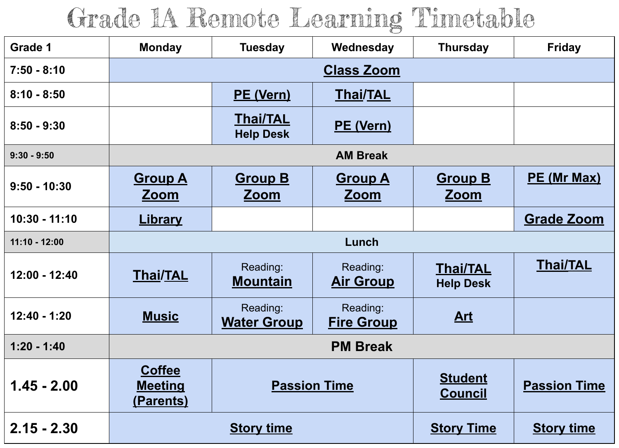## Grade 1A Remote Learning Timetable

| Grade 1         | <b>Monday</b>                                       | <b>Tuesday</b>                      | Wednesday                     | <b>Thursday</b>                     | <b>Friday</b>       |  |  |
|-----------------|-----------------------------------------------------|-------------------------------------|-------------------------------|-------------------------------------|---------------------|--|--|
| $7:50 - 8:10$   | <b>Class Zoom</b>                                   |                                     |                               |                                     |                     |  |  |
| $8:10 - 8:50$   |                                                     | <b>PE (Vern)</b>                    | <b>Thai/TAL</b>               |                                     |                     |  |  |
| $8:50 - 9:30$   |                                                     | <b>Thai/TAL</b><br><b>Help Desk</b> | <b>PE (Vern)</b>              |                                     |                     |  |  |
| $9:30 - 9:50$   | <b>AM Break</b>                                     |                                     |                               |                                     |                     |  |  |
| $9:50 - 10:30$  | <u>Group A</u><br><u>Zoom</u>                       | <b>Group B</b><br><u>Zoom</u>       | <b>Group A</b><br><u>Zoom</u> | <b>Group B</b><br><u>Zoom</u>       | PE (Mr Max)         |  |  |
| $10:30 - 11:10$ | <b>Library</b>                                      |                                     |                               |                                     | <b>Grade Zoom</b>   |  |  |
| $11:10 - 12:00$ | Lunch                                               |                                     |                               |                                     |                     |  |  |
| $12:00 - 12:40$ | <b>Thai/TAL</b>                                     | Reading:<br><u>Mountain</u>         | Reading:<br><u>Air Group</u>  | <b>Thai/TAL</b><br><b>Help Desk</b> | <b>Thai/TAL</b>     |  |  |
| $12:40 - 1:20$  | <b>Music</b>                                        | Reading:<br><b>Water Group</b>      | Reading:<br><b>Fire Group</b> | <u>Art</u>                          |                     |  |  |
| $1:20 - 1:40$   | <b>PM Break</b>                                     |                                     |                               |                                     |                     |  |  |
| $1.45 - 2.00$   | <b>Coffee</b><br><b>Meeting</b><br><u>(Parents)</u> | <b>Passion Time</b>                 |                               | <b>Student</b><br><b>Council</b>    | <b>Passion Time</b> |  |  |
| $2.15 - 2.30$   | <b>Story time</b>                                   |                                     |                               | <b>Story Time</b>                   | <b>Story time</b>   |  |  |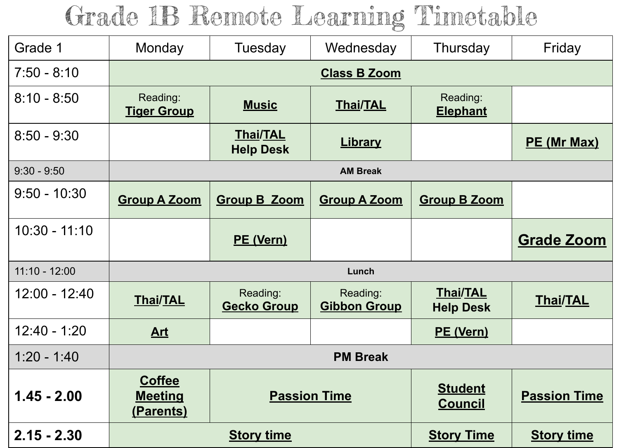## Grade 1B Remote Learning Timetable

| Grade 1         | Monday                                       | Tuesday                             | Wednesday                       | Thursday                            | Friday              |  |  |
|-----------------|----------------------------------------------|-------------------------------------|---------------------------------|-------------------------------------|---------------------|--|--|
| $7:50 - 8:10$   | <b>Class B Zoom</b>                          |                                     |                                 |                                     |                     |  |  |
| $8:10 - 8:50$   | Reading:<br><b>Tiger Group</b>               | <b>Music</b>                        | <b>Thai/TAL</b>                 | Reading:<br><b>Elephant</b>         |                     |  |  |
| $8:50 - 9:30$   |                                              | <b>Thai/TAL</b><br><b>Help Desk</b> | <b>Library</b>                  |                                     | PE (Mr Max)         |  |  |
| $9:30 - 9:50$   | <b>AM Break</b>                              |                                     |                                 |                                     |                     |  |  |
| $9:50 - 10:30$  | <b>Group A Zoom</b>                          | <b>Group B Zoom</b>                 | <b>Group A Zoom</b>             | <b>Group B Zoom</b>                 |                     |  |  |
| $10:30 - 11:10$ |                                              | <b>PE (Vern)</b>                    |                                 |                                     | <b>Grade Zoom</b>   |  |  |
| $11:10 - 12:00$ | Lunch                                        |                                     |                                 |                                     |                     |  |  |
| $12:00 - 12:40$ | <b>Thai/TAL</b>                              | Reading:<br><b>Gecko Group</b>      | Reading:<br><b>Gibbon Group</b> | <b>Thai/TAL</b><br><b>Help Desk</b> | <b>Thai/TAL</b>     |  |  |
| $12:40 - 1:20$  | Art                                          |                                     |                                 | PE (Vern)                           |                     |  |  |
| $1:20 - 1:40$   | <b>PM Break</b>                              |                                     |                                 |                                     |                     |  |  |
| $1.45 - 2.00$   | <b>Coffee</b><br><b>Meeting</b><br>(Parents) | <b>Passion Time</b>                 |                                 | <b>Student</b><br><b>Council</b>    | <b>Passion Time</b> |  |  |
| $2.15 - 2.30$   | <b>Story time</b>                            |                                     |                                 | <b>Story Time</b>                   | <b>Story time</b>   |  |  |